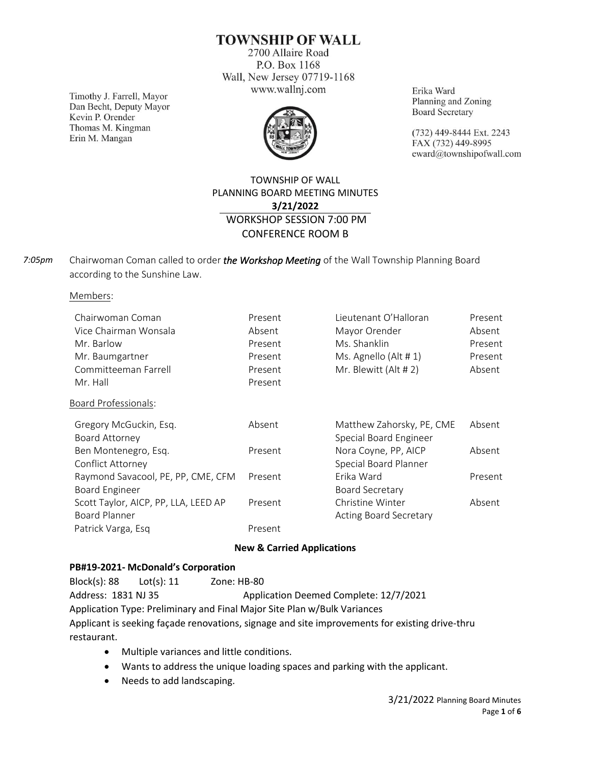**TOWNSHIP OF WALL** 

2700 Allaire Road P.O. Box 1168 Wall, New Jersey 07719-1168 www.wallnj.com

Timothy J. Farrell, Mayor Dan Becht, Deputy Mayor Kevin P. Orender Thomas M. Kingman Erin M. Mangan



Erika Ward Planning and Zoning **Board Secretary** 

(732) 449-8444 Ext. 2243 FAX (732) 449-8995 eward@townshipofwall.com

## TOWNSHIP OF WALL PLANNING BOARD MEETING MINUTES **3/21/2022** WORKSHOP SESSION 7:00 PM CONFERENCE ROOM B

Chairwoman Coman called to order *the Workshop Meeting* of the Wall Township Planning Board according to the Sunshine Law. *7:05pm*

Members:

| Chairwoman Coman                     | Present | Lieutenant O'Halloran         | Present |
|--------------------------------------|---------|-------------------------------|---------|
| Vice Chairman Wonsala                | Absent  | Mayor Orender                 | Absent  |
| Mr. Barlow                           | Present | Ms. Shanklin                  | Present |
| Mr. Baumgartner                      | Present | Ms. Agnello (Alt # 1)         | Present |
| Committeeman Farrell                 | Present | Mr. Blewitt (Alt # 2)         | Absent  |
| Mr. Hall                             | Present |                               |         |
| <b>Board Professionals:</b>          |         |                               |         |
| Gregory McGuckin, Esq.               | Absent  | Matthew Zahorsky, PE, CME     | Absent  |
| Board Attorney                       |         | Special Board Engineer        |         |
| Ben Montenegro, Esq.                 | Present | Nora Coyne, PP, AICP          | Absent  |
| Conflict Attorney                    |         | Special Board Planner         |         |
| Raymond Savacool, PE, PP, CME, CFM   | Present | Erika Ward                    | Present |
| Board Engineer                       |         | <b>Board Secretary</b>        |         |
| Scott Taylor, AICP, PP, LLA, LEED AP | Present | Christine Winter              | Absent  |
| Board Planner                        |         | <b>Acting Board Secretary</b> |         |
| Patrick Varga, Esq                   | Present |                               |         |

### **New & Carried Applications**

### **PB#19-2021- McDonald's Corporation**

Block(s): 88 Lot(s): 11 Zone: HB-80 Address: 1831 NJ 35 Application Deemed Complete: 12/7/2021 Application Type: Preliminary and Final Major Site Plan w/Bulk Variances Applicant is seeking façade renovations, signage and site improvements for existing drive-thru restaurant.

- Multiple variances and little conditions.
- Wants to address the unique loading spaces and parking with the applicant.
- Needs to add landscaping.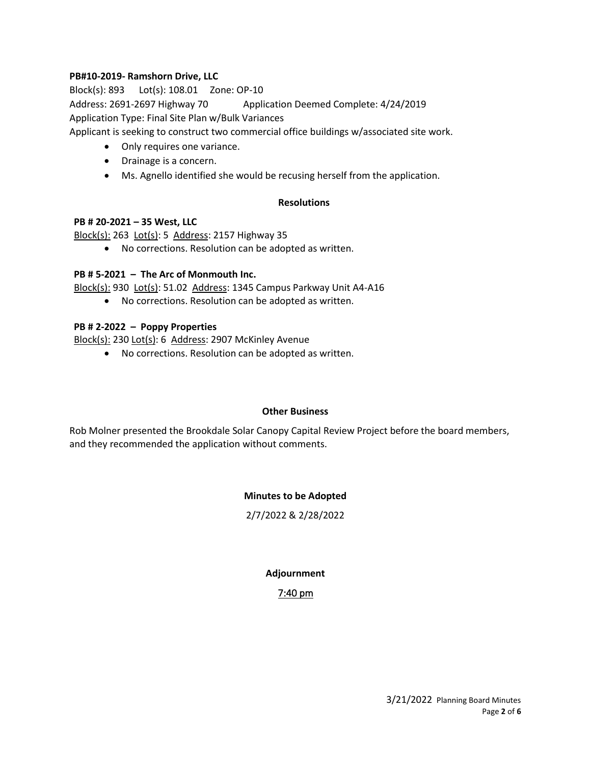### **PB#10-2019- Ramshorn Drive, LLC**

Block(s): 893 Lot(s): 108.01 Zone: OP-10 Address: 2691-2697 Highway 70 Application Deemed Complete: 4/24/2019 Application Type: Final Site Plan w/Bulk Variances

Applicant is seeking to construct two commercial office buildings w/associated site work.

- Only requires one variance.
- Drainage is a concern.
- Ms. Agnello identified she would be recusing herself from the application.

#### **Resolutions**

#### **PB # 20-2021 – 35 West, LLC**

Block(s): 263 Lot(s): 5 Address: 2157 Highway 35

• No corrections. Resolution can be adopted as written.

### **PB # 5-2021 – The Arc of Monmouth Inc.**

Block(s): 930 Lot(s): 51.02 Address: 1345 Campus Parkway Unit A4-A16

• No corrections. Resolution can be adopted as written.

### **PB # 2-2022 – Poppy Properties**

Block(s): 230 Lot(s): 6 Address: 2907 McKinley Avenue

• No corrections. Resolution can be adopted as written.

#### **Other Business**

Rob Molner presented the Brookdale Solar Canopy Capital Review Project before the board members, and they recommended the application without comments.

### **Minutes to be Adopted**

2/7/2022 & 2/28/2022

### **Adjournment**

### 7:40 pm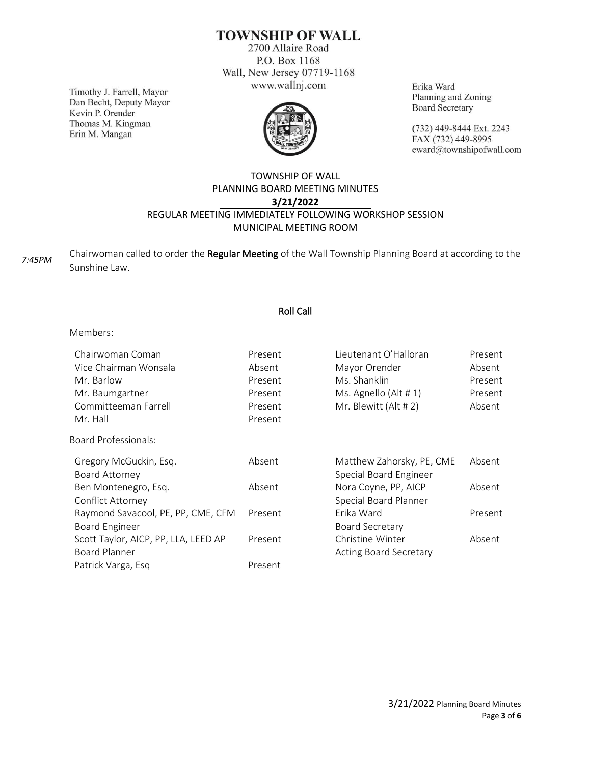# **TOWNSHIP OF WALL**

2700 Allaire Road P.O. Box 1168 Wall, New Jersey 07719-1168 www.wallnj.com

Timothy J. Farrell, Mayor Dan Becht, Deputy Mayor Kevin P. Orender Thomas M. Kingman Erin M. Mangan



Erika Ward Planning and Zoning **Board Secretary** 

(732) 449-8444 Ext. 2243 FAX (732) 449-8995 eward@townshipofwall.com

## TOWNSHIP OF WALL PLANNING BOARD MEETING MINUTES **3/21/2022** REGULAR MEETING IMMEDIATELY FOLLOWING WORKSHOP SESSION MUNICIPAL MEETING ROOM

Chairwoman called to order the Regular Meeting of the Wall Township Planning Board at according to the Sunshine Law. *7:45PM*

## Roll Call

#### Members:

| Chairwoman Coman                     | Present | Lieutenant O'Halloran         | Present |
|--------------------------------------|---------|-------------------------------|---------|
| Vice Chairman Wonsala                | Absent  | Mayor Orender                 | Absent  |
| Mr. Barlow                           | Present | Ms. Shanklin                  | Present |
| Mr. Baumgartner                      | Present | Ms. Agnello (Alt #1)          | Present |
| Committeeman Farrell                 | Present | Mr. Blewitt (Alt # 2)         | Absent  |
| Mr. Hall                             | Present |                               |         |
| <b>Board Professionals:</b>          |         |                               |         |
| Gregory McGuckin, Esq.               | Absent  | Matthew Zahorsky, PE, CME     | Absent  |
| Board Attorney                       |         | Special Board Engineer        |         |
| Ben Montenegro, Esq.                 | Absent  | Nora Coyne, PP, AICP          | Absent  |
| Conflict Attorney                    |         | Special Board Planner         |         |
| Raymond Savacool, PE, PP, CME, CFM   | Present | Erika Ward                    | Present |
| <b>Board Engineer</b>                |         | <b>Board Secretary</b>        |         |
| Scott Taylor, AICP, PP, LLA, LEED AP | Present | Christine Winter              | Absent  |
| Board Planner                        |         | <b>Acting Board Secretary</b> |         |
| Patrick Varga, Esq                   | Present |                               |         |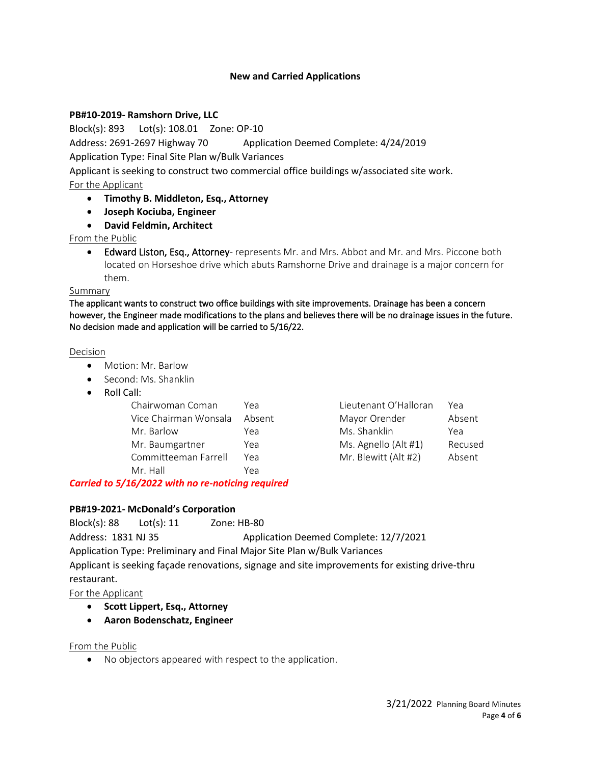### **New and Carried Applications**

#### **PB#10-2019- Ramshorn Drive, LLC**

Block(s): 893 Lot(s): 108.01 Zone: OP-10

Address: 2691-2697 Highway 70 Application Deemed Complete: 4/24/2019

Application Type: Final Site Plan w/Bulk Variances

Applicant is seeking to construct two commercial office buildings w/associated site work.

### For the Applicant

- **Timothy B. Middleton, Esq., Attorney**
- **Joseph Kociuba, Engineer**
- **David Feldmin, Architect**

From the Public

• Edward Liston, Esq., Attorney- represents Mr. and Mrs. Abbot and Mr. and Mrs. Piccone both located on Horseshoe drive which abuts Ramshorne Drive and drainage is a major concern for them.

### Summary

The applicant wants to construct two office buildings with site improvements. Drainage has been a concern however, the Engineer made modifications to the plans and believes there will be no drainage issues in the future. No decision made and application will be carried to 5/16/22.

#### Decision

- Motion: Mr. Barlow
- Second: Ms. Shanklin
- Roll Call:

| Chairwoman Coman      | Үеа    | Lieutenant O'Halloran | Үеа    |
|-----------------------|--------|-----------------------|--------|
| Vice Chairman Wonsala | Absent | Mayor Orender         | Absent |
| Mr. Barlow            | Yea    | Ms. Shanklin          | Yea    |
| Mr. Baumgartner       | Yea    | Ms. Agnello (Alt #1)  | Recuse |
| Committeeman Farrell  | Yea    | Mr. Blewitt (Alt #2)  | Absent |
| Mr. Hall              | Yea    |                       |        |

| Үеа    | Lieutenant O'Halloran | Үеа     |
|--------|-----------------------|---------|
| Absent | Mayor Orender         | Absent  |
| Yea    | Ms. Shanklin          | Yea     |
| Yea    | Ms. Agnello (Alt #1)  | Recused |
| Үеа    | Mr. Blewitt (Alt #2)  | Absent  |
|        |                       |         |

## *Carried to 5/16/2022 with no re-noticing required*

### **PB#19-2021- McDonald's Corporation**

Block(s): 88 Lot(s): 11 Zone: HB-80

Address: 1831 NJ 35 Application Deemed Complete: 12/7/2021

Application Type: Preliminary and Final Major Site Plan w/Bulk Variances

Applicant is seeking façade renovations, signage and site improvements for existing drive-thru restaurant.

For the Applicant

- **Scott Lippert, Esq., Attorney**
- **Aaron Bodenschatz, Engineer**

### From the Public

• No objectors appeared with respect to the application.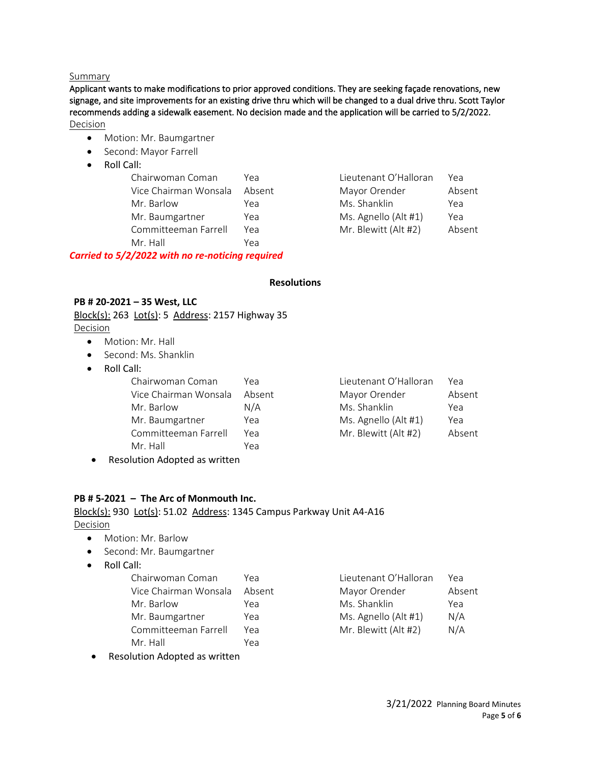#### Summary

Applicant wants to make modifications to prior approved conditions. They are seeking façade renovations, new signage, and site improvements for an existing drive thru which will be changed to a dual drive thru. Scott Taylor recommends adding a sidewalk easement. No decision made and the application will be carried to 5/2/2022. Decision

- Motion: Mr. Baumgartner
- Second: Mayor Farrell
- Roll Call:

| Chairwoman Coman      | Yea    |
|-----------------------|--------|
| Vice Chairman Wonsala | Absent |
| Mr. Barlow            | Yea    |
| Mr. Baumgartner       | Yea    |
| Committeeman Farrell  | Yea    |
| Mr Hall               | Yea    |
|                       |        |

*Carried to 5/2/2022 with no re-noticing required*

Lieutenant O'Halloran Yea t Mayor Orender Absent Ms. Shanklin Yea Ms. Agnello (Alt #1) Yea Mr. Blewitt (Alt #2) Absent

#### **Resolutions**

## **PB # 20-2021 – 35 West, LLC**

Block(s): 263 Lot(s): 5 Address: 2157 Highway 35

Decision

- Motion: Mr. Hall
- Second: Ms. Shanklin
- Roll Call:

| Chairwoman Coman      | Үеа    | Lieutenant O'Halloran | Үеа    |
|-----------------------|--------|-----------------------|--------|
| Vice Chairman Wonsala | Absent | Mayor Orender         | Absent |
| Mr. Barlow            | N/A    | Ms. Shanklin          | Yea    |
| Mr. Baumgartner       | Yea    | Ms. Agnello (Alt #1)  | Yea    |
| Committeeman Farrell  | Yea    | Mr. Blewitt (Alt #2)  | Absent |
| Mr. Hall              | Yea    |                       |        |
|                       |        |                       |        |

• Resolution Adopted as written

## **PB # 5-2021 – The Arc of Monmouth Inc.**

#### Block(s): 930 Lot(s): 51.02 Address: 1345 Campus Parkway Unit A4-A16 Decision

• Motion: Mr. Barlow

- Second: Mr. Baumgartner
- Roll Call:

| Chairwoman Coman      | Үеа    | Lieutenant O'Halloran | Үеа    |
|-----------------------|--------|-----------------------|--------|
| Vice Chairman Wonsala | Absent | Mayor Orender         | Absent |
| Mr. Barlow            | Yea    | Ms. Shanklin          | Yea    |
| Mr. Baumgartner       | Yea    | Ms. Agnello (Alt #1)  | N/A    |
| Committeeman Farrell  | Үеа    | Mr. Blewitt (Alt #2)  | N/A    |
| Mr. Hall              | Yea    |                       |        |

• Resolution Adopted as written

| Lieutenant O'Halloran | Yea    |
|-----------------------|--------|
| Mayor Orender         | Absent |
| Ms. Shanklin          | Yea    |
| Ms. Agnello (Alt #1)  | N/A    |
| Mr. Blewitt (Alt #2)  | N/A    |